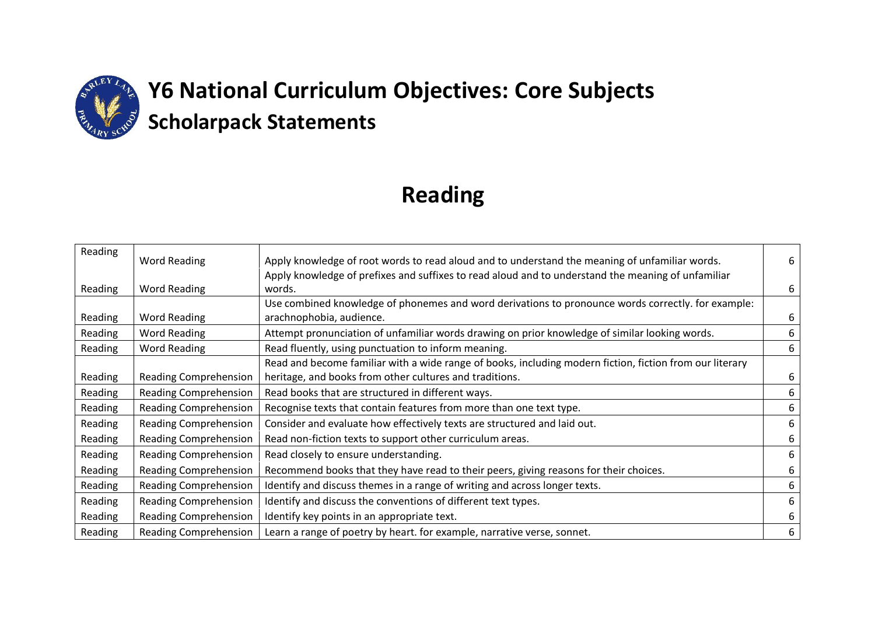

# **Y6 National Curriculum Objectives: Core Subjects Scholarpack Statements**

## **Reading**

| Reading | <b>Word Reading</b>          | Apply knowledge of root words to read aloud and to understand the meaning of unfamiliar words.               | 6 |
|---------|------------------------------|--------------------------------------------------------------------------------------------------------------|---|
| Reading | <b>Word Reading</b>          | Apply knowledge of prefixes and suffixes to read aloud and to understand the meaning of unfamiliar<br>words. | 6 |
|         |                              | Use combined knowledge of phonemes and word derivations to pronounce words correctly. for example:           |   |
| Reading | Word Reading                 | arachnophobia, audience.                                                                                     | 6 |
| Reading | Word Reading                 | Attempt pronunciation of unfamiliar words drawing on prior knowledge of similar looking words.               | 6 |
| Reading | <b>Word Reading</b>          | Read fluently, using punctuation to inform meaning.                                                          | 6 |
|         |                              | Read and become familiar with a wide range of books, including modern fiction, fiction from our literary     |   |
| Reading | <b>Reading Comprehension</b> | heritage, and books from other cultures and traditions.                                                      | 6 |
| Reading | Reading Comprehension        | Read books that are structured in different ways.                                                            | 6 |
| Reading | Reading Comprehension        | Recognise texts that contain features from more than one text type.                                          | 6 |
| Reading | Reading Comprehension        | Consider and evaluate how effectively texts are structured and laid out.                                     | 6 |
| Reading | Reading Comprehension        | Read non-fiction texts to support other curriculum areas.                                                    | 6 |
| Reading | Reading Comprehension        | Read closely to ensure understanding.                                                                        | 6 |
| Reading | Reading Comprehension        | Recommend books that they have read to their peers, giving reasons for their choices.                        | 6 |
| Reading | Reading Comprehension        | Identify and discuss themes in a range of writing and across longer texts.                                   | 6 |
| Reading | <b>Reading Comprehension</b> | Identify and discuss the conventions of different text types.                                                | 6 |
| Reading | Reading Comprehension        | Identify key points in an appropriate text.                                                                  | 6 |
| Reading | Reading Comprehension        | Learn a range of poetry by heart. for example, narrative verse, sonnet.                                      | 6 |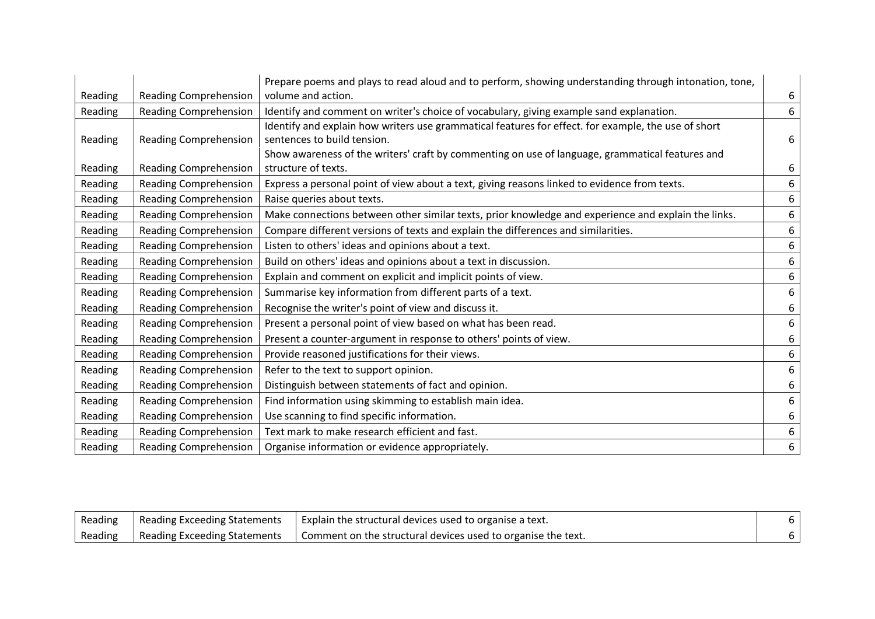|         |                              | Prepare poems and plays to read aloud and to perform, showing understanding through intonation, tone,                  |   |
|---------|------------------------------|------------------------------------------------------------------------------------------------------------------------|---|
| Reading | <b>Reading Comprehension</b> | volume and action.                                                                                                     | 6 |
| Reading | <b>Reading Comprehension</b> | Identify and comment on writer's choice of vocabulary, giving example sand explanation.                                | 6 |
|         |                              | Identify and explain how writers use grammatical features for effect. for example, the use of short                    |   |
| Reading | <b>Reading Comprehension</b> | sentences to build tension.                                                                                            | 6 |
|         |                              |                                                                                                                        |   |
|         |                              | Show awareness of the writers' craft by commenting on use of language, grammatical features and<br>structure of texts. |   |
| Reading | <b>Reading Comprehension</b> |                                                                                                                        | 6 |
| Reading | <b>Reading Comprehension</b> | Express a personal point of view about a text, giving reasons linked to evidence from texts.                           | 6 |
| Reading | <b>Reading Comprehension</b> | Raise queries about texts.                                                                                             | 6 |
| Reading | <b>Reading Comprehension</b> | Make connections between other similar texts, prior knowledge and experience and explain the links.                    | 6 |
| Reading | <b>Reading Comprehension</b> | Compare different versions of texts and explain the differences and similarities.                                      | 6 |
| Reading | <b>Reading Comprehension</b> | Listen to others' ideas and opinions about a text.                                                                     | 6 |
| Reading | <b>Reading Comprehension</b> | Build on others' ideas and opinions about a text in discussion.                                                        | 6 |
| Reading | <b>Reading Comprehension</b> | Explain and comment on explicit and implicit points of view.                                                           | 6 |
| Reading | <b>Reading Comprehension</b> | Summarise key information from different parts of a text.                                                              | 6 |
| Reading | Reading Comprehension        | Recognise the writer's point of view and discuss it.                                                                   | 6 |
| Reading | <b>Reading Comprehension</b> | Present a personal point of view based on what has been read.                                                          | 6 |
| Reading | <b>Reading Comprehension</b> | Present a counter-argument in response to others' points of view.                                                      | 6 |
| Reading | <b>Reading Comprehension</b> | Provide reasoned justifications for their views.                                                                       | 6 |
| Reading | Reading Comprehension        | Refer to the text to support opinion.                                                                                  | 6 |
| Reading | <b>Reading Comprehension</b> | Distinguish between statements of fact and opinion.                                                                    | 6 |
| Reading | <b>Reading Comprehension</b> | Find information using skimming to establish main idea.                                                                | 6 |
| Reading | <b>Reading Comprehension</b> | Use scanning to find specific information.                                                                             | 6 |
| Reading | <b>Reading Comprehension</b> | Text mark to make research efficient and fast.                                                                         | 6 |
| Reading | <b>Reading Comprehension</b> | Organise information or evidence appropriately.                                                                        | 6 |

| Reading | l Reading Exceeding Statements | Explain the structural devices used to organise a text.        |  |
|---------|--------------------------------|----------------------------------------------------------------|--|
| Reading | Reading Exceeding Statements   | I Comment on the structural devices used to organise the text. |  |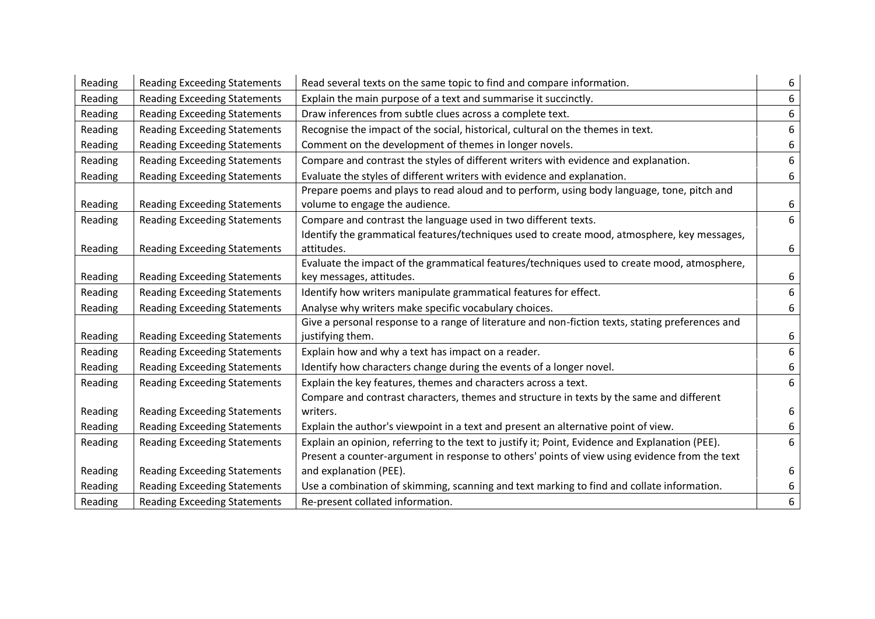| Reading | <b>Reading Exceeding Statements</b> | Read several texts on the same topic to find and compare information.                                                        | 6 |
|---------|-------------------------------------|------------------------------------------------------------------------------------------------------------------------------|---|
| Reading | <b>Reading Exceeding Statements</b> | Explain the main purpose of a text and summarise it succinctly.                                                              | 6 |
| Reading | <b>Reading Exceeding Statements</b> | Draw inferences from subtle clues across a complete text.                                                                    | 6 |
| Reading | <b>Reading Exceeding Statements</b> | Recognise the impact of the social, historical, cultural on the themes in text.                                              | 6 |
| Reading | <b>Reading Exceeding Statements</b> | Comment on the development of themes in longer novels.                                                                       | 6 |
| Reading | <b>Reading Exceeding Statements</b> | Compare and contrast the styles of different writers with evidence and explanation.                                          | 6 |
| Reading | <b>Reading Exceeding Statements</b> | Evaluate the styles of different writers with evidence and explanation.                                                      | 6 |
| Reading | <b>Reading Exceeding Statements</b> | Prepare poems and plays to read aloud and to perform, using body language, tone, pitch and<br>volume to engage the audience. | 6 |
| Reading | <b>Reading Exceeding Statements</b> | Compare and contrast the language used in two different texts.                                                               | 6 |
|         |                                     | Identify the grammatical features/techniques used to create mood, atmosphere, key messages,                                  |   |
| Reading | <b>Reading Exceeding Statements</b> | attitudes.                                                                                                                   | 6 |
|         |                                     | Evaluate the impact of the grammatical features/techniques used to create mood, atmosphere,                                  |   |
| Reading | <b>Reading Exceeding Statements</b> | key messages, attitudes.                                                                                                     | 6 |
| Reading | <b>Reading Exceeding Statements</b> | Identify how writers manipulate grammatical features for effect.                                                             | 6 |
| Reading | <b>Reading Exceeding Statements</b> | Analyse why writers make specific vocabulary choices.                                                                        | 6 |
|         |                                     | Give a personal response to a range of literature and non-fiction texts, stating preferences and                             |   |
| Reading | <b>Reading Exceeding Statements</b> | justifying them.                                                                                                             | 6 |
| Reading | <b>Reading Exceeding Statements</b> | Explain how and why a text has impact on a reader.                                                                           | 6 |
| Reading | <b>Reading Exceeding Statements</b> | Identify how characters change during the events of a longer novel.                                                          | 6 |
| Reading | <b>Reading Exceeding Statements</b> | Explain the key features, themes and characters across a text.                                                               | 6 |
|         |                                     | Compare and contrast characters, themes and structure in texts by the same and different                                     |   |
| Reading | <b>Reading Exceeding Statements</b> | writers.                                                                                                                     | 6 |
| Reading | <b>Reading Exceeding Statements</b> | Explain the author's viewpoint in a text and present an alternative point of view.                                           | 6 |
| Reading | <b>Reading Exceeding Statements</b> | Explain an opinion, referring to the text to justify it; Point, Evidence and Explanation (PEE).                              | 6 |
|         |                                     | Present a counter-argument in response to others' points of view using evidence from the text                                |   |
| Reading | <b>Reading Exceeding Statements</b> | and explanation (PEE).                                                                                                       | 6 |
| Reading | <b>Reading Exceeding Statements</b> | Use a combination of skimming, scanning and text marking to find and collate information.                                    | 6 |
| Reading | <b>Reading Exceeding Statements</b> | Re-present collated information.                                                                                             | 6 |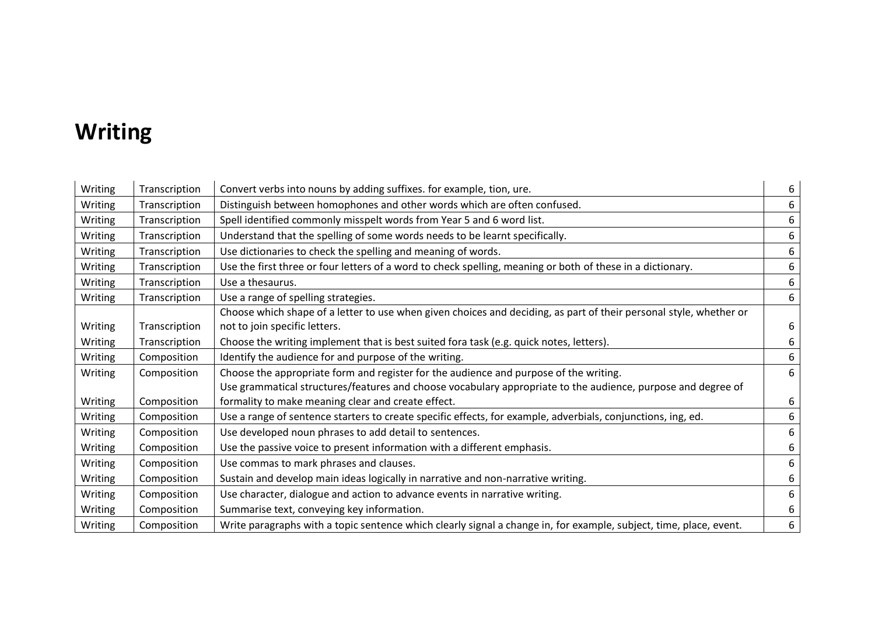#### **Writing**

| Writing | Transcription | Convert verbs into nouns by adding suffixes. for example, tion, ure.                                               | 6 |
|---------|---------------|--------------------------------------------------------------------------------------------------------------------|---|
| Writing | Transcription | Distinguish between homophones and other words which are often confused.                                           | 6 |
| Writing | Transcription | Spell identified commonly misspelt words from Year 5 and 6 word list.                                              | 6 |
| Writing | Transcription | Understand that the spelling of some words needs to be learnt specifically.                                        | 6 |
| Writing | Transcription | Use dictionaries to check the spelling and meaning of words.                                                       | 6 |
| Writing | Transcription | Use the first three or four letters of a word to check spelling, meaning or both of these in a dictionary.         | 6 |
| Writing | Transcription | Use a thesaurus.                                                                                                   | 6 |
| Writing | Transcription | Use a range of spelling strategies.                                                                                | 6 |
|         |               | Choose which shape of a letter to use when given choices and deciding, as part of their personal style, whether or |   |
| Writing | Transcription | not to join specific letters.                                                                                      | 6 |
| Writing | Transcription | Choose the writing implement that is best suited fora task (e.g. quick notes, letters).                            | 6 |
| Writing | Composition   | Identify the audience for and purpose of the writing.                                                              | 6 |
| Writing | Composition   | Choose the appropriate form and register for the audience and purpose of the writing.                              | 6 |
|         |               | Use grammatical structures/features and choose vocabulary appropriate to the audience, purpose and degree of       |   |
| Writing | Composition   | formality to make meaning clear and create effect.                                                                 | 6 |
| Writing | Composition   | Use a range of sentence starters to create specific effects, for example, adverbials, conjunctions, ing, ed.       | 6 |
| Writing | Composition   | Use developed noun phrases to add detail to sentences.                                                             | 6 |
| Writing | Composition   | Use the passive voice to present information with a different emphasis.                                            | 6 |
| Writing | Composition   | Use commas to mark phrases and clauses.                                                                            | 6 |
| Writing | Composition   | Sustain and develop main ideas logically in narrative and non-narrative writing.                                   | 6 |
| Writing | Composition   | Use character, dialogue and action to advance events in narrative writing.                                         | 6 |
| Writing | Composition   | Summarise text, conveying key information.                                                                         | 6 |
| Writing | Composition   | Write paragraphs with a topic sentence which clearly signal a change in, for example, subject, time, place, event. | 6 |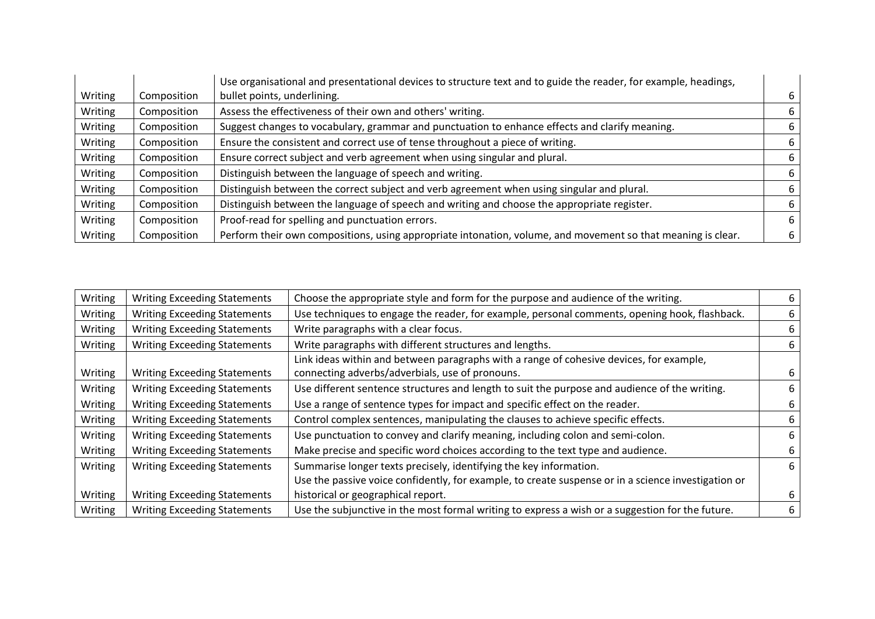|         |             | Use organisational and presentational devices to structure text and to guide the reader, for example, headings, |   |
|---------|-------------|-----------------------------------------------------------------------------------------------------------------|---|
| Writing | Composition | bullet points, underlining.                                                                                     | 6 |
| Writing | Composition | Assess the effectiveness of their own and others' writing.                                                      | 6 |
| Writing | Composition | Suggest changes to vocabulary, grammar and punctuation to enhance effects and clarify meaning.                  | 6 |
| Writing | Composition | Ensure the consistent and correct use of tense throughout a piece of writing.                                   | 6 |
| Writing | Composition | Ensure correct subject and verb agreement when using singular and plural.                                       | 6 |
| Writing | Composition | Distinguish between the language of speech and writing.                                                         | 6 |
| Writing | Composition | Distinguish between the correct subject and verb agreement when using singular and plural.                      | 6 |
| Writing | Composition | Distinguish between the language of speech and writing and choose the appropriate register.                     | 6 |
| Writing | Composition | Proof-read for spelling and punctuation errors.                                                                 | 6 |
| Writing | Composition | Perform their own compositions, using appropriate intonation, volume, and movement so that meaning is clear.    | 6 |

| Writing | <b>Writing Exceeding Statements</b> | Choose the appropriate style and form for the purpose and audience of the writing.                  | 6 |
|---------|-------------------------------------|-----------------------------------------------------------------------------------------------------|---|
| Writing | <b>Writing Exceeding Statements</b> | Use techniques to engage the reader, for example, personal comments, opening hook, flashback.       | 6 |
| Writing | <b>Writing Exceeding Statements</b> | Write paragraphs with a clear focus.                                                                | 6 |
| Writing | <b>Writing Exceeding Statements</b> | Write paragraphs with different structures and lengths.                                             | 6 |
|         |                                     | Link ideas within and between paragraphs with a range of cohesive devices, for example,             |   |
| Writing | <b>Writing Exceeding Statements</b> | connecting adverbs/adverbials, use of pronouns.                                                     | 6 |
| Writing | <b>Writing Exceeding Statements</b> | Use different sentence structures and length to suit the purpose and audience of the writing.       | 6 |
| Writing | <b>Writing Exceeding Statements</b> | Use a range of sentence types for impact and specific effect on the reader.                         | 6 |
| Writing | <b>Writing Exceeding Statements</b> | Control complex sentences, manipulating the clauses to achieve specific effects.                    | 6 |
| Writing | <b>Writing Exceeding Statements</b> | Use punctuation to convey and clarify meaning, including colon and semi-colon.                      | 6 |
| Writing | <b>Writing Exceeding Statements</b> | Make precise and specific word choices according to the text type and audience.                     | 6 |
| Writing | <b>Writing Exceeding Statements</b> | Summarise longer texts precisely, identifying the key information.                                  | 6 |
|         |                                     | Use the passive voice confidently, for example, to create suspense or in a science investigation or |   |
| Writing | <b>Writing Exceeding Statements</b> | historical or geographical report.                                                                  | 6 |
| Writing | <b>Writing Exceeding Statements</b> | Use the subjunctive in the most formal writing to express a wish or a suggestion for the future.    | 6 |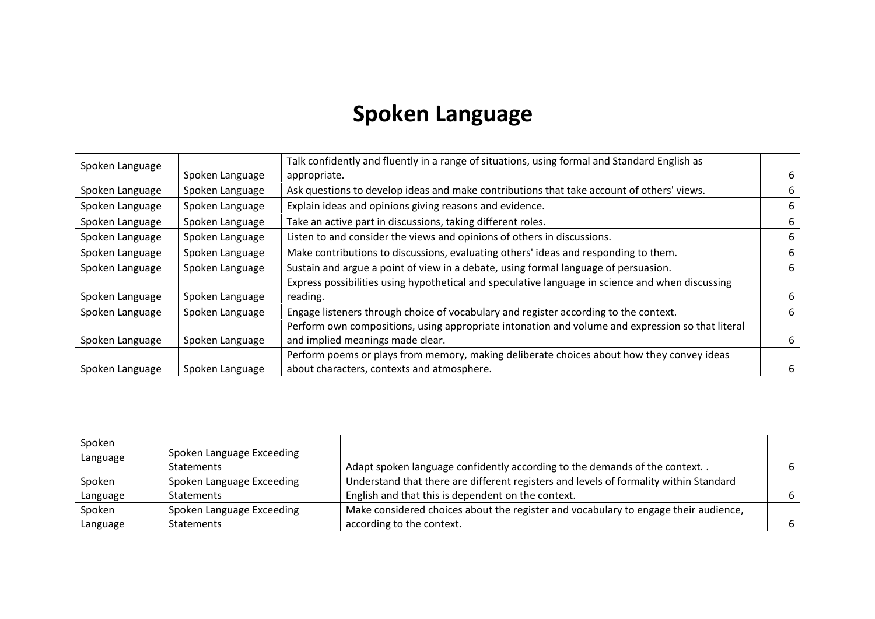### **Spoken Language**

| Spoken Language |                 | Talk confidently and fluently in a range of situations, using formal and Standard English as     |   |
|-----------------|-----------------|--------------------------------------------------------------------------------------------------|---|
|                 | Spoken Language | appropriate.                                                                                     | 6 |
| Spoken Language | Spoken Language | Ask questions to develop ideas and make contributions that take account of others' views.        |   |
| Spoken Language | Spoken Language | Explain ideas and opinions giving reasons and evidence.                                          | 6 |
| Spoken Language | Spoken Language | Take an active part in discussions, taking different roles.                                      | 6 |
| Spoken Language | Spoken Language | Listen to and consider the views and opinions of others in discussions.                          | 6 |
| Spoken Language | Spoken Language | Make contributions to discussions, evaluating others' ideas and responding to them.              | 6 |
| Spoken Language | Spoken Language | Sustain and argue a point of view in a debate, using formal language of persuasion.              | 6 |
|                 |                 | Express possibilities using hypothetical and speculative language in science and when discussing |   |
| Spoken Language | Spoken Language | reading.                                                                                         | 6 |
| Spoken Language | Spoken Language | Engage listeners through choice of vocabulary and register according to the context.             | 6 |
|                 |                 | Perform own compositions, using appropriate intonation and volume and expression so that literal |   |
| Spoken Language | Spoken Language | and implied meanings made clear.                                                                 | 6 |
|                 |                 | Perform poems or plays from memory, making deliberate choices about how they convey ideas        |   |
| Spoken Language | Spoken Language | about characters, contexts and atmosphere.                                                       | 6 |

| Spoken   |                           |                                                                                       |   |
|----------|---------------------------|---------------------------------------------------------------------------------------|---|
| Language | Spoken Language Exceeding |                                                                                       |   |
|          | <b>Statements</b>         | Adapt spoken language confidently according to the demands of the context             |   |
| Spoken   | Spoken Language Exceeding | Understand that there are different registers and levels of formality within Standard |   |
| Language | <b>Statements</b>         | English and that this is dependent on the context.                                    |   |
| Spoken   | Spoken Language Exceeding | Make considered choices about the register and vocabulary to engage their audience,   |   |
| Language | <b>Statements</b>         | according to the context.                                                             | 6 |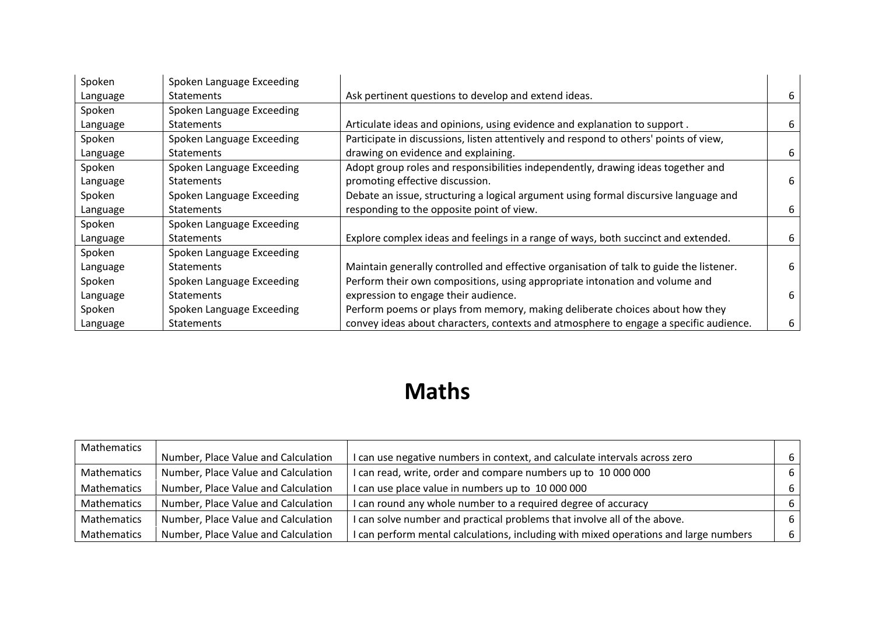| Spoken   | Spoken Language Exceeding |                                                                                         |   |
|----------|---------------------------|-----------------------------------------------------------------------------------------|---|
| Language | <b>Statements</b>         | Ask pertinent questions to develop and extend ideas.                                    | 6 |
| Spoken   | Spoken Language Exceeding |                                                                                         |   |
| Language | <b>Statements</b>         | Articulate ideas and opinions, using evidence and explanation to support.               | 6 |
| Spoken   | Spoken Language Exceeding | Participate in discussions, listen attentively and respond to others' points of view,   |   |
| Language | <b>Statements</b>         | drawing on evidence and explaining.                                                     | 6 |
| Spoken   | Spoken Language Exceeding | Adopt group roles and responsibilities independently, drawing ideas together and        |   |
| Language | <b>Statements</b>         | promoting effective discussion.                                                         |   |
| Spoken   | Spoken Language Exceeding | Debate an issue, structuring a logical argument using formal discursive language and    |   |
| Language | <b>Statements</b>         | responding to the opposite point of view.                                               | 6 |
| Spoken   | Spoken Language Exceeding |                                                                                         |   |
| Language | <b>Statements</b>         | Explore complex ideas and feelings in a range of ways, both succinct and extended.      | 6 |
| Spoken   | Spoken Language Exceeding |                                                                                         |   |
| Language | <b>Statements</b>         | Maintain generally controlled and effective organisation of talk to guide the listener. | 6 |
| Spoken   | Spoken Language Exceeding | Perform their own compositions, using appropriate intonation and volume and             |   |
| Language | <b>Statements</b>         | expression to engage their audience.                                                    | 6 |
| Spoken   | Spoken Language Exceeding | Perform poems or plays from memory, making deliberate choices about how they            |   |
| Language | <b>Statements</b>         | convey ideas about characters, contexts and atmosphere to engage a specific audience.   | 6 |

### **Maths**

| Mathematics |                                     |                                                                                      |    |
|-------------|-------------------------------------|--------------------------------------------------------------------------------------|----|
|             | Number, Place Value and Calculation | I can use negative numbers in context, and calculate intervals across zero           | 6  |
| Mathematics | Number, Place Value and Calculation | I can read, write, order and compare numbers up to 10 000 000                        | 6  |
| Mathematics | Number, Place Value and Calculation | I can use place value in numbers up to 10 000 000                                    | -6 |
| Mathematics | Number, Place Value and Calculation | I can round any whole number to a required degree of accuracy                        | -6 |
| Mathematics | Number, Place Value and Calculation | I can solve number and practical problems that involve all of the above.             | -6 |
| Mathematics | Number, Place Value and Calculation | I can perform mental calculations, including with mixed operations and large numbers | 6  |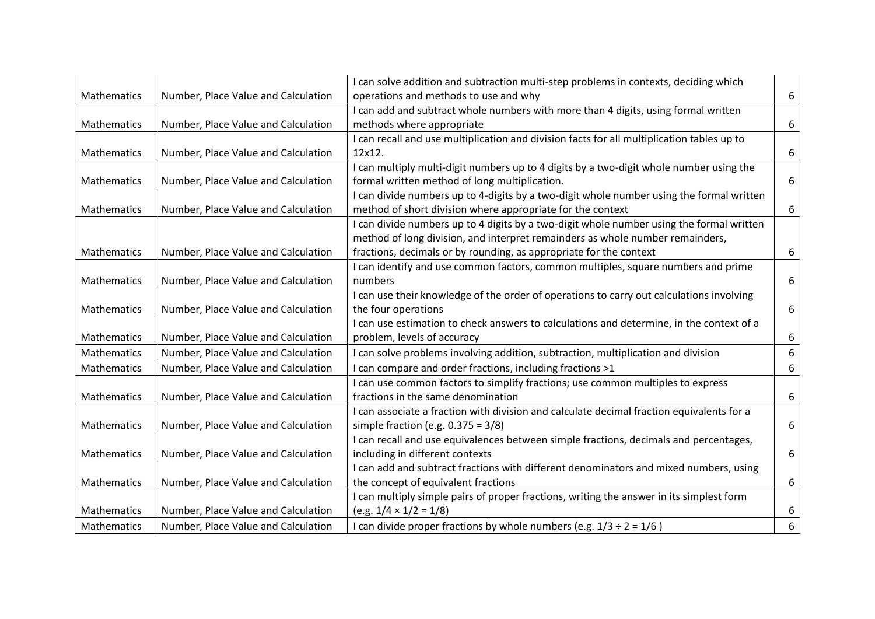|                    |                                     | I can solve addition and subtraction multi-step problems in contexts, deciding which       |   |
|--------------------|-------------------------------------|--------------------------------------------------------------------------------------------|---|
| <b>Mathematics</b> | Number, Place Value and Calculation | operations and methods to use and why                                                      | 6 |
|                    |                                     | I can add and subtract whole numbers with more than 4 digits, using formal written         |   |
| Mathematics        | Number, Place Value and Calculation | methods where appropriate                                                                  | 6 |
|                    |                                     | I can recall and use multiplication and division facts for all multiplication tables up to |   |
| Mathematics        | Number, Place Value and Calculation | 12x12.                                                                                     | 6 |
|                    |                                     | I can multiply multi-digit numbers up to 4 digits by a two-digit whole number using the    |   |
| Mathematics        | Number, Place Value and Calculation | formal written method of long multiplication.                                              | 6 |
|                    |                                     | I can divide numbers up to 4-digits by a two-digit whole number using the formal written   |   |
| Mathematics        | Number, Place Value and Calculation | method of short division where appropriate for the context                                 | 6 |
|                    |                                     | I can divide numbers up to 4 digits by a two-digit whole number using the formal written   |   |
|                    |                                     | method of long division, and interpret remainders as whole number remainders,              |   |
| <b>Mathematics</b> | Number, Place Value and Calculation | fractions, decimals or by rounding, as appropriate for the context                         | 6 |
|                    |                                     | I can identify and use common factors, common multiples, square numbers and prime          |   |
| Mathematics        | Number, Place Value and Calculation | numbers                                                                                    | 6 |
|                    |                                     | I can use their knowledge of the order of operations to carry out calculations involving   |   |
| <b>Mathematics</b> | Number, Place Value and Calculation | the four operations                                                                        | 6 |
|                    |                                     | I can use estimation to check answers to calculations and determine, in the context of a   |   |
| <b>Mathematics</b> | Number, Place Value and Calculation | problem, levels of accuracy                                                                | 6 |
| <b>Mathematics</b> | Number, Place Value and Calculation | I can solve problems involving addition, subtraction, multiplication and division          | 6 |
| Mathematics        | Number, Place Value and Calculation | I can compare and order fractions, including fractions >1                                  | 6 |
|                    |                                     | I can use common factors to simplify fractions; use common multiples to express            |   |
| Mathematics        | Number, Place Value and Calculation | fractions in the same denomination                                                         | 6 |
|                    |                                     | I can associate a fraction with division and calculate decimal fraction equivalents for a  |   |
| Mathematics        | Number, Place Value and Calculation | simple fraction (e.g. $0.375 = 3/8$ )                                                      | 6 |
|                    |                                     | I can recall and use equivalences between simple fractions, decimals and percentages,      |   |
| Mathematics        | Number, Place Value and Calculation | including in different contexts                                                            | 6 |
|                    |                                     | I can add and subtract fractions with different denominators and mixed numbers, using      |   |
| <b>Mathematics</b> | Number, Place Value and Calculation | the concept of equivalent fractions                                                        | 6 |
|                    |                                     | I can multiply simple pairs of proper fractions, writing the answer in its simplest form   |   |
| Mathematics        | Number, Place Value and Calculation | $(e.g. 1/4 \times 1/2 = 1/8)$                                                              | 6 |
| Mathematics        | Number, Place Value and Calculation | I can divide proper fractions by whole numbers (e.g. $1/3 \div 2 = 1/6$ )                  | 6 |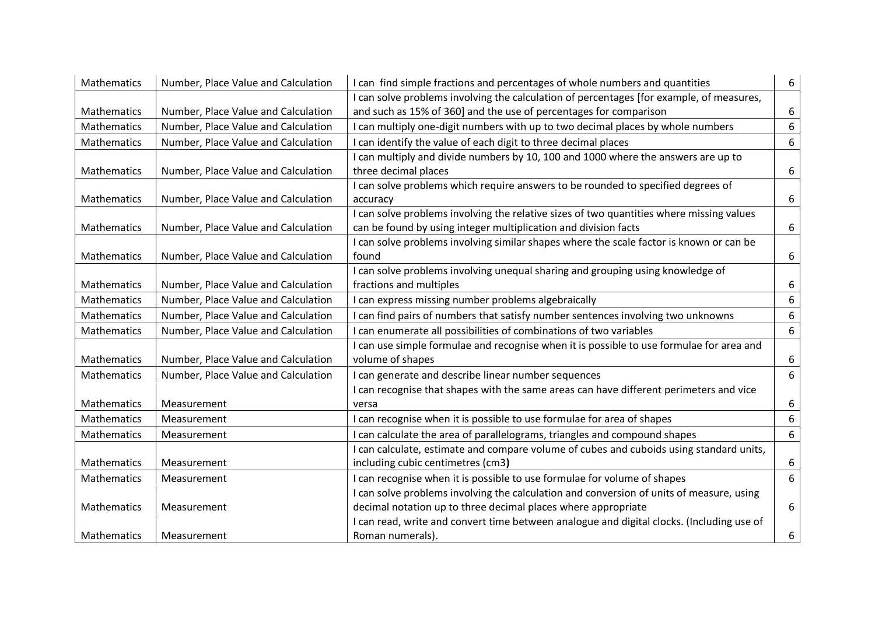| Mathematics | Number, Place Value and Calculation | I can find simple fractions and percentages of whole numbers and quantities               | 6                |
|-------------|-------------------------------------|-------------------------------------------------------------------------------------------|------------------|
|             |                                     | I can solve problems involving the calculation of percentages [for example, of measures,  |                  |
| Mathematics | Number, Place Value and Calculation | and such as 15% of 360] and the use of percentages for comparison                         | 6                |
| Mathematics | Number, Place Value and Calculation | I can multiply one-digit numbers with up to two decimal places by whole numbers           | 6                |
| Mathematics | Number, Place Value and Calculation | I can identify the value of each digit to three decimal places                            | $\boldsymbol{6}$ |
|             |                                     | I can multiply and divide numbers by 10, 100 and 1000 where the answers are up to         |                  |
| Mathematics | Number, Place Value and Calculation | three decimal places                                                                      | 6                |
|             |                                     | I can solve problems which require answers to be rounded to specified degrees of          |                  |
| Mathematics | Number, Place Value and Calculation | accuracy                                                                                  | 6                |
|             |                                     | I can solve problems involving the relative sizes of two quantities where missing values  |                  |
| Mathematics | Number, Place Value and Calculation | can be found by using integer multiplication and division facts                           | 6                |
|             |                                     | I can solve problems involving similar shapes where the scale factor is known or can be   |                  |
| Mathematics | Number, Place Value and Calculation | found                                                                                     | 6                |
|             |                                     | I can solve problems involving unequal sharing and grouping using knowledge of            |                  |
| Mathematics | Number, Place Value and Calculation | fractions and multiples                                                                   | 6                |
| Mathematics | Number, Place Value and Calculation | I can express missing number problems algebraically                                       | 6                |
| Mathematics | Number, Place Value and Calculation | I can find pairs of numbers that satisfy number sentences involving two unknowns          | 6                |
| Mathematics | Number, Place Value and Calculation | I can enumerate all possibilities of combinations of two variables                        | 6                |
|             |                                     | I can use simple formulae and recognise when it is possible to use formulae for area and  |                  |
| Mathematics | Number, Place Value and Calculation | volume of shapes                                                                          | 6                |
| Mathematics | Number, Place Value and Calculation | I can generate and describe linear number sequences                                       | 6                |
|             |                                     | I can recognise that shapes with the same areas can have different perimeters and vice    |                  |
| Mathematics | Measurement                         | versa                                                                                     | 6                |
| Mathematics | Measurement                         | I can recognise when it is possible to use formulae for area of shapes                    | 6                |
| Mathematics | Measurement                         | I can calculate the area of parallelograms, triangles and compound shapes                 | 6                |
|             |                                     | I can calculate, estimate and compare volume of cubes and cuboids using standard units,   |                  |
| Mathematics | Measurement                         | including cubic centimetres (cm3)                                                         | 6                |
| Mathematics | Measurement                         | I can recognise when it is possible to use formulae for volume of shapes                  | 6                |
|             |                                     | I can solve problems involving the calculation and conversion of units of measure, using  |                  |
| Mathematics | Measurement                         | decimal notation up to three decimal places where appropriate                             | 6                |
|             |                                     | I can read, write and convert time between analogue and digital clocks. (Including use of |                  |
| Mathematics | Measurement                         | Roman numerals).                                                                          | 6                |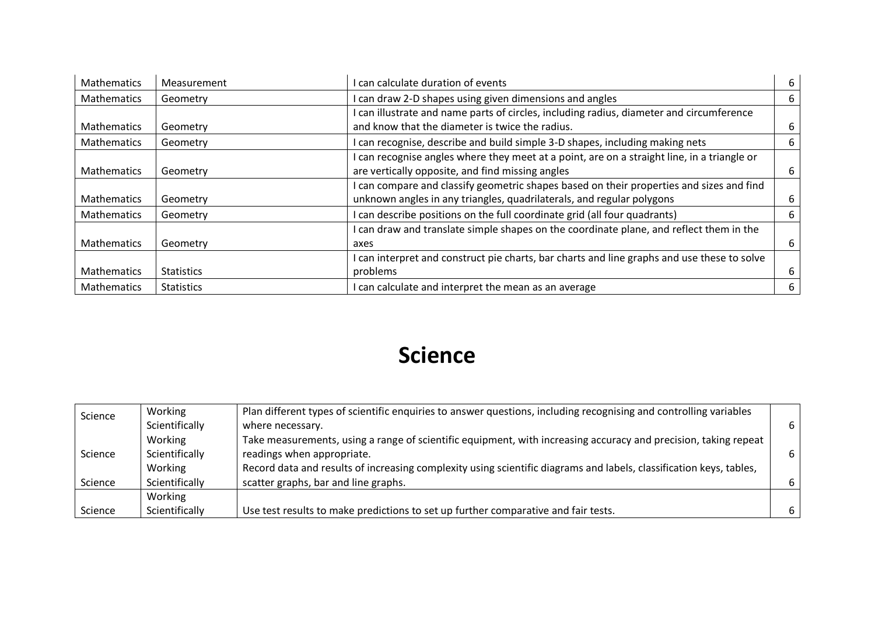| <b>Mathematics</b> | Measurement       | I can calculate duration of events                                                          | 6 |
|--------------------|-------------------|---------------------------------------------------------------------------------------------|---|
| <b>Mathematics</b> | Geometry          | I can draw 2-D shapes using given dimensions and angles                                     | 6 |
|                    |                   | I can illustrate and name parts of circles, including radius, diameter and circumference    |   |
| <b>Mathematics</b> | Geometry          | and know that the diameter is twice the radius.                                             | 6 |
| <b>Mathematics</b> | Geometry          | I can recognise, describe and build simple 3-D shapes, including making nets                | 6 |
|                    |                   | I can recognise angles where they meet at a point, are on a straight line, in a triangle or |   |
| <b>Mathematics</b> | Geometry          | are vertically opposite, and find missing angles                                            | 6 |
|                    |                   | I can compare and classify geometric shapes based on their properties and sizes and find    |   |
| <b>Mathematics</b> | Geometry          | unknown angles in any triangles, quadrilaterals, and regular polygons                       | 6 |
| Mathematics        | Geometry          | can describe positions on the full coordinate grid (all four quadrants)                     | 6 |
|                    |                   | I can draw and translate simple shapes on the coordinate plane, and reflect them in the     |   |
| <b>Mathematics</b> | Geometry          | axes                                                                                        | 6 |
|                    |                   | I can interpret and construct pie charts, bar charts and line graphs and use these to solve |   |
| <b>Mathematics</b> | <b>Statistics</b> | problems                                                                                    | 6 |
| Mathematics        | <b>Statistics</b> | I can calculate and interpret the mean as an average                                        | 6 |

#### **Science**

| Science | Working        | Plan different types of scientific enquiries to answer questions, including recognising and controlling variables   |   |
|---------|----------------|---------------------------------------------------------------------------------------------------------------------|---|
|         | Scientifically | where necessary.                                                                                                    | 6 |
|         | Working        | Take measurements, using a range of scientific equipment, with increasing accuracy and precision, taking repeat     |   |
| Science | Scientifically | readings when appropriate.                                                                                          |   |
|         | Working        | Record data and results of increasing complexity using scientific diagrams and labels, classification keys, tables, |   |
| Science | Scientifically | scatter graphs, bar and line graphs.                                                                                | 6 |
|         | Working        |                                                                                                                     |   |
| Science | Scientifically | Use test results to make predictions to set up further comparative and fair tests.                                  |   |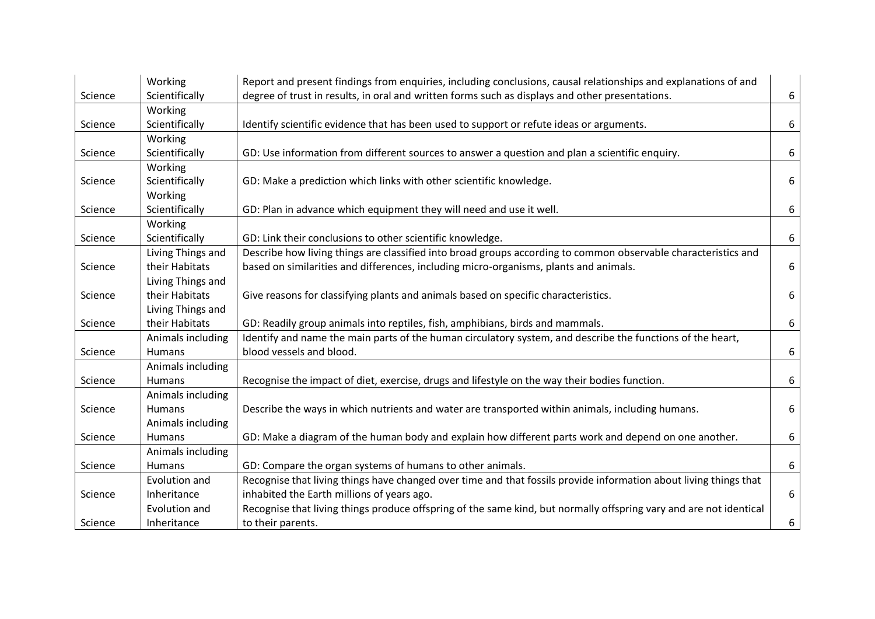|         | Working           | Report and present findings from enquiries, including conclusions, causal relationships and explanations of and    |   |
|---------|-------------------|--------------------------------------------------------------------------------------------------------------------|---|
| Science | Scientifically    | degree of trust in results, in oral and written forms such as displays and other presentations.                    | 6 |
|         | Working           |                                                                                                                    |   |
| Science | Scientifically    | Identify scientific evidence that has been used to support or refute ideas or arguments.                           | 6 |
|         | Working           |                                                                                                                    |   |
| Science | Scientifically    | GD: Use information from different sources to answer a question and plan a scientific enquiry.                     | 6 |
|         | Working           |                                                                                                                    |   |
| Science | Scientifically    | GD: Make a prediction which links with other scientific knowledge.                                                 | 6 |
|         | Working           |                                                                                                                    |   |
| Science | Scientifically    | GD: Plan in advance which equipment they will need and use it well.                                                | 6 |
|         | Working           |                                                                                                                    |   |
| Science | Scientifically    | GD: Link their conclusions to other scientific knowledge.                                                          | 6 |
|         | Living Things and | Describe how living things are classified into broad groups according to common observable characteristics and     |   |
| Science | their Habitats    | based on similarities and differences, including micro-organisms, plants and animals.                              | 6 |
|         | Living Things and |                                                                                                                    |   |
| Science | their Habitats    | Give reasons for classifying plants and animals based on specific characteristics.                                 | 6 |
|         | Living Things and |                                                                                                                    |   |
| Science | their Habitats    | GD: Readily group animals into reptiles, fish, amphibians, birds and mammals.                                      | 6 |
|         | Animals including | Identify and name the main parts of the human circulatory system, and describe the functions of the heart,         |   |
| Science | Humans            | blood vessels and blood.                                                                                           | 6 |
|         | Animals including |                                                                                                                    |   |
| Science | <b>Humans</b>     | Recognise the impact of diet, exercise, drugs and lifestyle on the way their bodies function.                      | 6 |
|         | Animals including |                                                                                                                    |   |
| Science | Humans            | Describe the ways in which nutrients and water are transported within animals, including humans.                   | 6 |
|         | Animals including |                                                                                                                    |   |
| Science | <b>Humans</b>     | GD: Make a diagram of the human body and explain how different parts work and depend on one another.               | 6 |
|         | Animals including |                                                                                                                    |   |
| Science | <b>Humans</b>     | GD: Compare the organ systems of humans to other animals.                                                          | 6 |
|         | Evolution and     | Recognise that living things have changed over time and that fossils provide information about living things that  |   |
| Science | Inheritance       | inhabited the Earth millions of years ago.                                                                         | 6 |
|         | Evolution and     | Recognise that living things produce offspring of the same kind, but normally offspring vary and are not identical |   |
| Science | Inheritance       | to their parents.                                                                                                  | 6 |